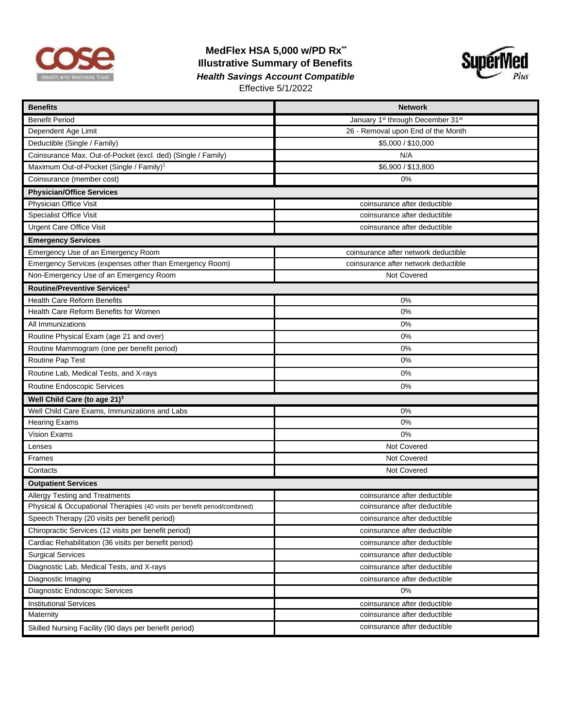

## **MedFlex HSA 5,000 w/PD Rx\*\* Illustrative Summary of Benefits**  *Health Savings Account Compatible* Effective 5/1/2022



| <b>Benefits</b>                                                           | <b>Network</b>                                            |
|---------------------------------------------------------------------------|-----------------------------------------------------------|
| <b>Benefit Period</b>                                                     | January 1 <sup>st</sup> through December 31 <sup>st</sup> |
| Dependent Age Limit                                                       | 26 - Removal upon End of the Month                        |
| Deductible (Single / Family)                                              | \$5,000 / \$10,000                                        |
| Coinsurance Max. Out-of-Pocket (excl. ded) (Single / Family)              | N/A                                                       |
| Maximum Out-of-Pocket (Single / Family) <sup>1</sup>                      | \$6,900 / \$13,800                                        |
| Coinsurance (member cost)                                                 | 0%                                                        |
| <b>Physician/Office Services</b>                                          |                                                           |
| Physician Office Visit                                                    | coinsurance after deductible                              |
| <b>Specialist Office Visit</b>                                            | coinsurance after deductible                              |
| <b>Urgent Care Office Visit</b>                                           | coinsurance after deductible                              |
| <b>Emergency Services</b>                                                 |                                                           |
| Emergency Use of an Emergency Room                                        | coinsurance after network deductible                      |
| Emergency Services (expenses other than Emergency Room)                   | coinsurance after network deductible                      |
| Non-Emergency Use of an Emergency Room                                    | Not Covered                                               |
| Routine/Preventive Services <sup>2</sup>                                  |                                                           |
| <b>Health Care Reform Benefits</b>                                        | 0%                                                        |
| Health Care Reform Benefits for Women                                     | 0%                                                        |
| All Immunizations                                                         | 0%                                                        |
| Routine Physical Exam (age 21 and over)                                   | 0%                                                        |
| Routine Mammogram (one per benefit period)                                | 0%                                                        |
| Routine Pap Test                                                          | 0%                                                        |
| Routine Lab, Medical Tests, and X-rays                                    | 0%                                                        |
| Routine Endoscopic Services                                               | 0%                                                        |
| Well Child Care (to age 21) <sup>3</sup>                                  |                                                           |
| Well Child Care Exams, Immunizations and Labs                             | 0%                                                        |
| <b>Hearing Exams</b>                                                      | 0%                                                        |
| <b>Vision Exams</b>                                                       | 0%                                                        |
| Lenses                                                                    | Not Covered                                               |
| Frames                                                                    | Not Covered                                               |
| Contacts                                                                  | Not Covered                                               |
| <b>Outpatient Services</b>                                                |                                                           |
| Allergy Testing and Treatments                                            | coinsurance after deductible                              |
| Physical & Occupational Therapies (40 visits per benefit period/combined) | coinsurance after deductible                              |
| Speech Therapy (20 visits per benefit period)                             | coinsurance after deductible                              |
| Chiropractic Services (12 visits per benefit period)                      | coinsurance after deductible                              |
| Cardiac Rehabilitation (36 visits per benefit period)                     | coinsurance after deductible                              |
| <b>Surgical Services</b>                                                  | coinsurance after deductible                              |
| Diagnostic Lab, Medical Tests, and X-rays                                 | coinsurance after deductible                              |
| Diagnostic Imaging                                                        | coinsurance after deductible                              |
| Diagnostic Endoscopic Services                                            | 0%                                                        |
| <b>Institutional Services</b>                                             | coinsurance after deductible                              |
| Maternity                                                                 | coinsurance after deductible                              |
| Skilled Nursing Facility (90 days per benefit period)                     | coinsurance after deductible                              |